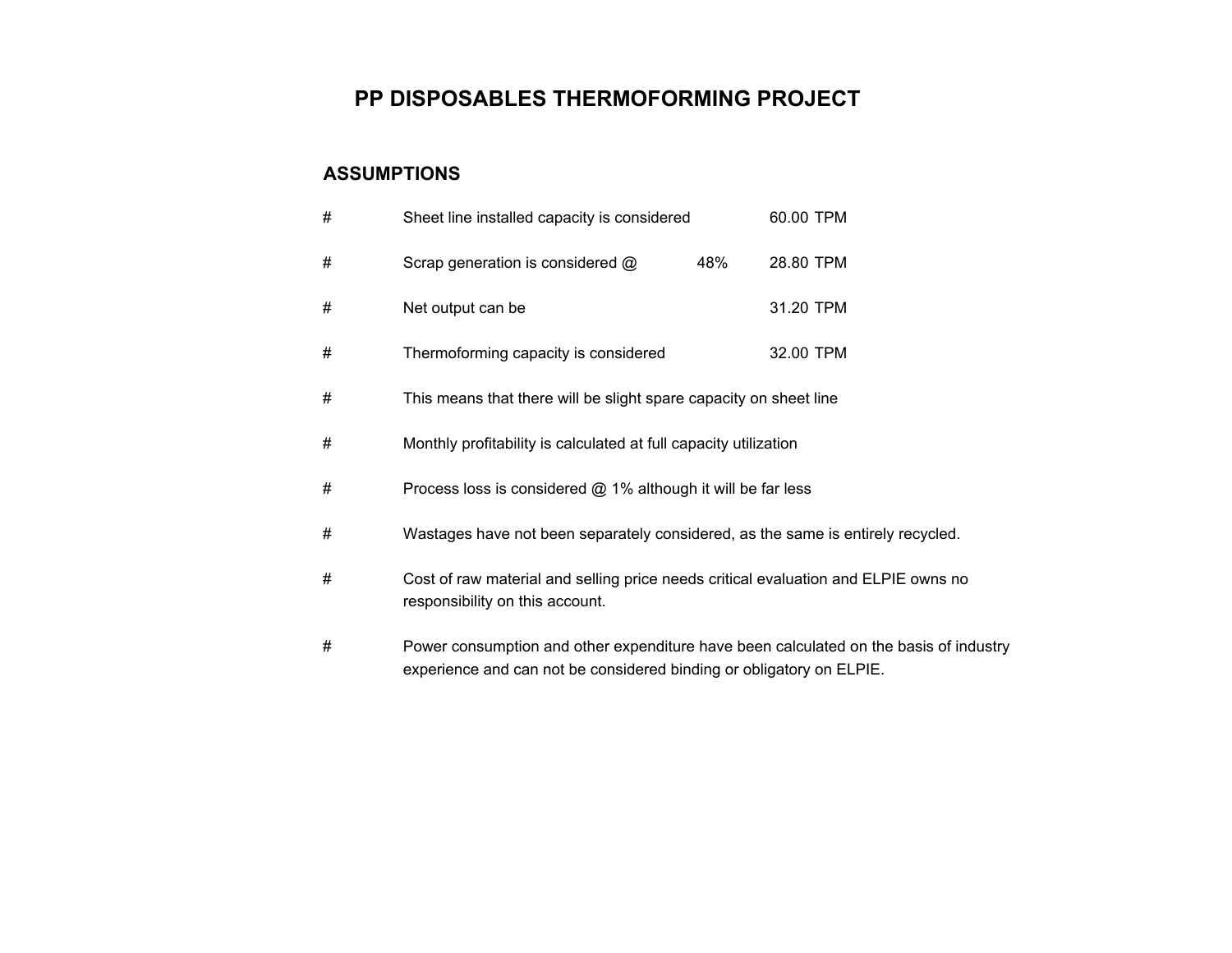## **PP DISPOSABLES THERMOFORMING PROJECT**

## **ASSUMPTIONS**

| # | Sheet line installed capacity is considered                                                                           |     | 60.00 TPM |  |  |  |
|---|-----------------------------------------------------------------------------------------------------------------------|-----|-----------|--|--|--|
| # | Scrap generation is considered @                                                                                      | 48% | 28.80 TPM |  |  |  |
| # | Net output can be                                                                                                     |     | 31.20 TPM |  |  |  |
| # | Thermoforming capacity is considered                                                                                  |     | 32.00 TPM |  |  |  |
| # | This means that there will be slight spare capacity on sheet line                                                     |     |           |  |  |  |
| # | Monthly profitability is calculated at full capacity utilization                                                      |     |           |  |  |  |
| # | Process loss is considered $@$ 1% although it will be far less                                                        |     |           |  |  |  |
| # | Wastages have not been separately considered, as the same is entirely recycled.                                       |     |           |  |  |  |
| # | Cost of raw material and selling price needs critical evaluation and ELPIE owns no<br>responsibility on this account. |     |           |  |  |  |
| # | Power consumption and other expenditure have been calculated on the basis of industry                                 |     |           |  |  |  |

experience and can not be considered binding or obligatory on ELPIE.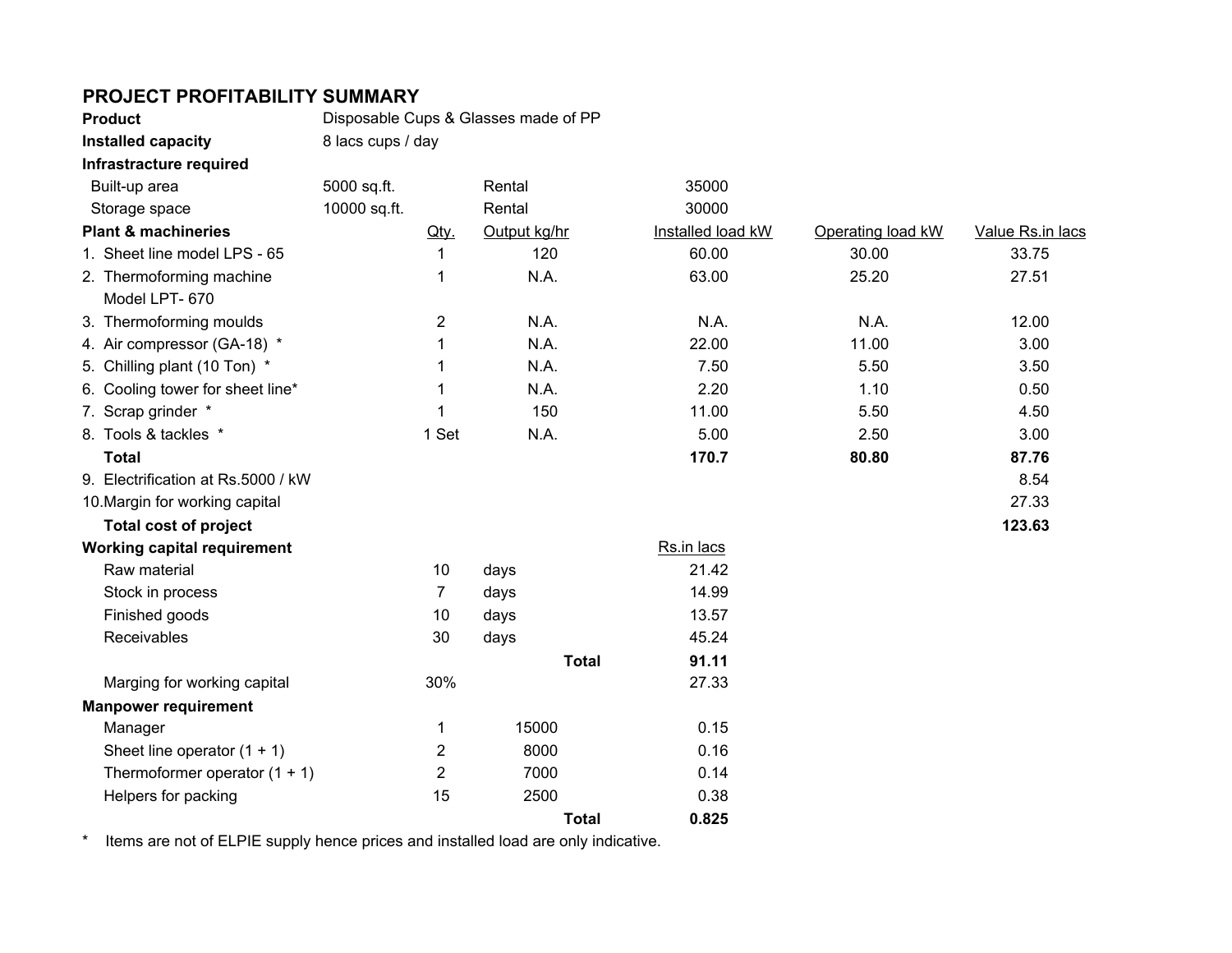## **PROJECT PROFITABILITY SUMMARY**

| <b>Product</b>                     | Disposable Cups & Glasses made of PP |                |              |                   |                   |                  |  |  |
|------------------------------------|--------------------------------------|----------------|--------------|-------------------|-------------------|------------------|--|--|
| Installed capacity                 | 8 lacs cups / day                    |                |              |                   |                   |                  |  |  |
| Infrastracture required            |                                      |                |              |                   |                   |                  |  |  |
| Built-up area                      | 5000 sq.ft.                          |                | Rental       | 35000             |                   |                  |  |  |
| Storage space                      | 10000 sq.ft.                         |                | Rental       | 30000             |                   |                  |  |  |
| <b>Plant &amp; machineries</b>     |                                      | Qty.           | Output kg/hr | Installed load kW | Operating load kW | Value Rs.in lacs |  |  |
| 1. Sheet line model LPS - 65       |                                      | 1              | 120          | 60.00             | 30.00             | 33.75            |  |  |
| 2. Thermoforming machine           |                                      | 1              | N.A.         | 63.00             | 25.20             | 27.51            |  |  |
| Model LPT-670                      |                                      |                |              |                   |                   |                  |  |  |
| 3. Thermoforming moulds            |                                      | $\overline{c}$ | N.A.         | N.A.              | N.A.              | 12.00            |  |  |
| 4. Air compressor (GA-18) *        |                                      | 1              | N.A.         | 22.00             | 11.00             | 3.00             |  |  |
| 5. Chilling plant (10 Ton) *       |                                      | 1              | N.A.         | 7.50              | 5.50              | 3.50             |  |  |
| 6. Cooling tower for sheet line*   |                                      | 1              | N.A.         | 2.20              | 1.10              | 0.50             |  |  |
| 7. Scrap grinder *                 |                                      | 1              | 150          | 11.00             | 5.50              | 4.50             |  |  |
| 8. Tools & tackles *               |                                      | 1 Set          | N.A.         | 5.00              | 2.50              | 3.00             |  |  |
| <b>Total</b>                       |                                      |                |              | 170.7             | 80.80             | 87.76            |  |  |
| 9. Electrification at Rs.5000 / kW |                                      |                |              |                   |                   | 8.54             |  |  |
| 10. Margin for working capital     |                                      |                |              |                   |                   | 27.33            |  |  |
| <b>Total cost of project</b>       |                                      |                |              |                   |                   | 123.63           |  |  |
| <b>Working capital requirement</b> |                                      |                |              | Rs.in lacs        |                   |                  |  |  |
| Raw material                       |                                      | 10             | days         | 21.42             |                   |                  |  |  |
| Stock in process                   |                                      | $\overline{7}$ | days         | 14.99             |                   |                  |  |  |
| Finished goods                     |                                      | 10             | days         | 13.57             |                   |                  |  |  |
| Receivables                        |                                      | 30             | days         | 45.24             |                   |                  |  |  |
|                                    |                                      |                | <b>Total</b> | 91.11             |                   |                  |  |  |
| Marging for working capital        |                                      | 30%            |              | 27.33             |                   |                  |  |  |
| <b>Manpower requirement</b>        |                                      |                |              |                   |                   |                  |  |  |
| Manager                            |                                      | 1              | 15000        | 0.15              |                   |                  |  |  |
| Sheet line operator $(1 + 1)$      |                                      | $\overline{2}$ | 8000         | 0.16              |                   |                  |  |  |
| Thermoformer operator $(1 + 1)$    |                                      | $\overline{2}$ | 7000         | 0.14              |                   |                  |  |  |
| Helpers for packing                |                                      | 15             | 2500         | 0.38              |                   |                  |  |  |
|                                    |                                      |                | <b>Total</b> | 0.825             |                   |                  |  |  |
|                                    |                                      |                |              |                   |                   |                  |  |  |

\* Items are not of ELPIE supply hence prices and installed load are only indicative.